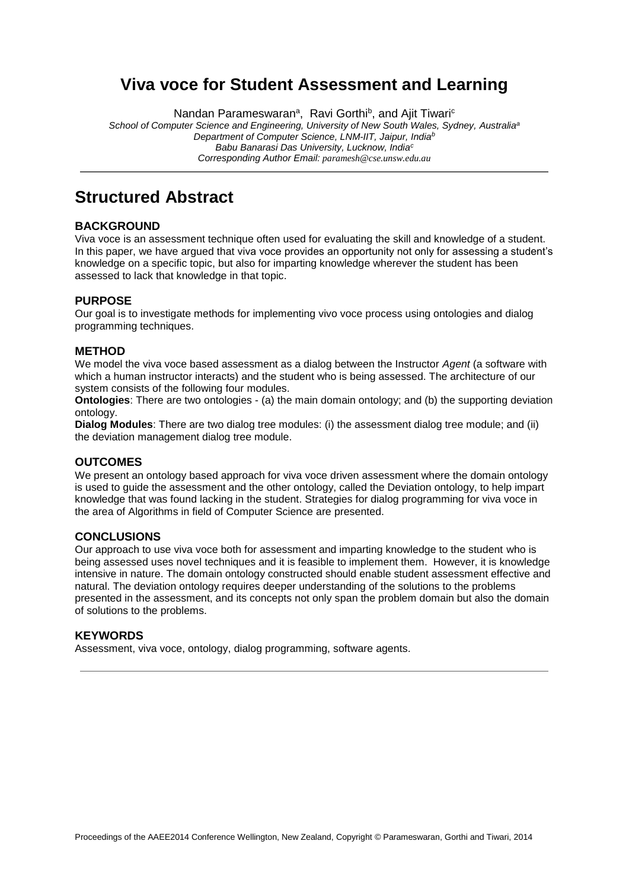## **Viva voce for Student Assessment and Learning**

Nandan Parameswaran<sup>a</sup>, Ravi Gorthi<sup>b</sup>, and Ajit Tiwari<sup>c</sup>

*School of Computer Science and Engineering, University of New South Wales, Sydney, Australia<sup>a</sup> Department of Computer Science, LNM-IIT, Jaipur, India<sup>b</sup> Babu Banarasi Das University, Lucknow, India<sup>c</sup> Corresponding Author Email: paramesh@cse.unsw.edu.au*

## **Structured Abstract**

#### **BACKGROUND**

Viva voce is an assessment technique often used for evaluating the skill and knowledge of a student. In this paper, we have argued that viva voce provides an opportunity not only for assessing a student's knowledge on a specific topic, but also for imparting knowledge wherever the student has been assessed to lack that knowledge in that topic.

#### **PURPOSE**

Our goal is to investigate methods for implementing vivo voce process using ontologies and dialog programming techniques.

#### **METHOD**

We model the viva voce based assessment as a dialog between the Instructor *Agent* (a software with which a human instructor interacts) and the student who is being assessed. The architecture of our system consists of the following four modules.

**Ontologies**: There are two ontologies - (a) the main domain ontology; and (b) the supporting deviation ontology.

**Dialog Modules**: There are two dialog tree modules: (i) the assessment dialog tree module; and (ii) the deviation management dialog tree module.

#### **OUTCOMES**

We present an ontology based approach for viva voce driven assessment where the domain ontology is used to guide the assessment and the other ontology, called the Deviation ontology, to help impart knowledge that was found lacking in the student. Strategies for dialog programming for viva voce in the area of Algorithms in field of Computer Science are presented.

#### **CONCLUSIONS**

Our approach to use viva voce both for assessment and imparting knowledge to the student who is being assessed uses novel techniques and it is feasible to implement them. However, it is knowledge intensive in nature. The domain ontology constructed should enable student assessment effective and natural. The deviation ontology requires deeper understanding of the solutions to the problems presented in the assessment, and its concepts not only span the problem domain but also the domain of solutions to the problems.

#### **KEYWORDS**

Assessment, viva voce, ontology, dialog programming, software agents.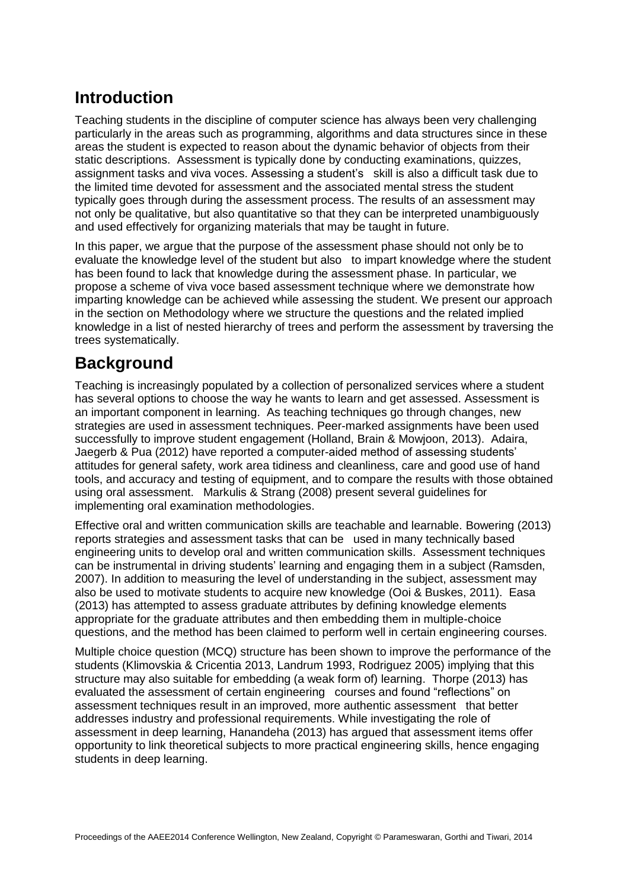# **Introduction**

Teaching students in the discipline of computer science has always been very challenging particularly in the areas such as programming, algorithms and data structures since in these areas the student is expected to reason about the dynamic behavior of objects from their static descriptions. Assessment is typically done by conducting examinations, quizzes, assignment tasks and viva voces. Assessing a student's skill is also a difficult task due to the limited time devoted for assessment and the associated mental stress the student typically goes through during the assessment process. The results of an assessment may not only be qualitative, but also quantitative so that they can be interpreted unambiguously and used effectively for organizing materials that may be taught in future.

In this paper, we argue that the purpose of the assessment phase should not only be to evaluate the knowledge level of the student but also to impart knowledge where the student has been found to lack that knowledge during the assessment phase. In particular, we propose a scheme of viva voce based assessment technique where we demonstrate how imparting knowledge can be achieved while assessing the student. We present our approach in the section on Methodology where we structure the questions and the related implied knowledge in a list of nested hierarchy of trees and perform the assessment by traversing the trees systematically.

# **Background**

Teaching is increasingly populated by a collection of personalized services where a student has several options to choose the way he wants to learn and get assessed. Assessment is an important component in learning. As teaching techniques go through changes, new strategies are used in assessment techniques. Peer-marked assignments have been used successfully to improve student engagement (Holland, Brain & Mowjoon, 2013). Adaira, Jaegerb & Pua (2012) have reported a computer-aided method of assessing students' attitudes for general safety, work area tidiness and cleanliness, care and good use of hand tools, and accuracy and testing of equipment, and to compare the results with those obtained using oral assessment. Markulis & Strang (2008) present several guidelines for implementing oral examination methodologies.

Effective oral and written communication skills are teachable and learnable. Bowering (2013) reports strategies and assessment tasks that can be used in many technically based engineering units to develop oral and written communication skills. Assessment techniques can be instrumental in driving students' learning and engaging them in a subject (Ramsden, 2007). In addition to measuring the level of understanding in the subject, assessment may also be used to motivate students to acquire new knowledge (Ooi & Buskes, 2011). Easa (2013) has attempted to assess graduate attributes by defining knowledge elements appropriate for the graduate attributes and then embedding them in multiple-choice questions, and the method has been claimed to perform well in certain engineering courses.

Multiple choice question (MCQ) structure has been shown to improve the performance of the students (Klimovskia & Cricentia 2013, Landrum 1993, Rodriguez 2005) implying that this structure may also suitable for embedding (a weak form of) learning. Thorpe (2013) has evaluated the assessment of certain engineering courses and found "reflections" on assessment techniques result in an improved, more authentic assessment that better addresses industry and professional requirements. While investigating the role of assessment in deep learning, Hanandeha (2013) has argued that assessment items offer opportunity to link theoretical subjects to more practical engineering skills, hence engaging students in deep learning.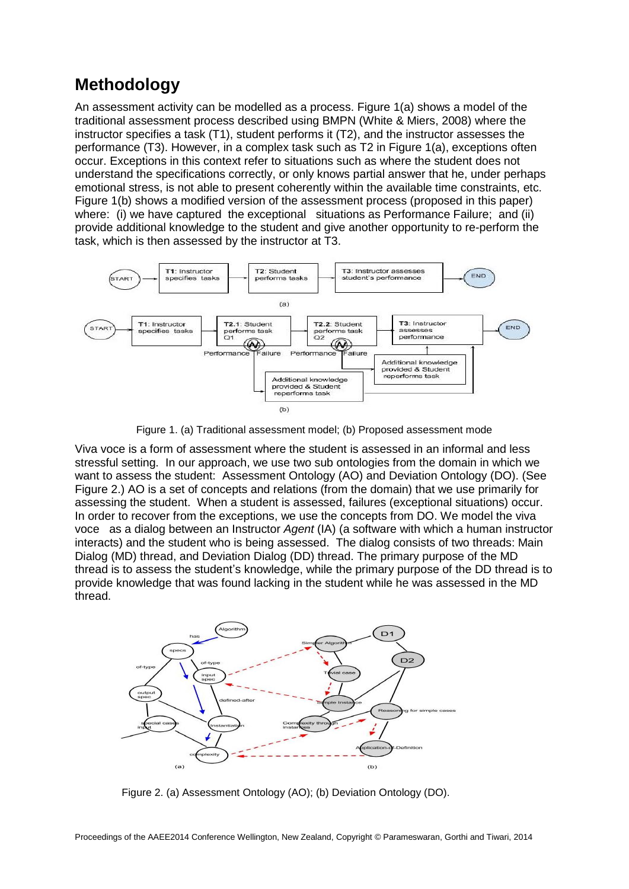# **Methodology**

An assessment activity can be modelled as a process. Figure 1(a) shows a model of the traditional assessment process described using BMPN (White & Miers, 2008) where the instructor specifies a task (T1), student performs it (T2), and the instructor assesses the performance (T3). However, in a complex task such as T2 in Figure 1(a), exceptions often occur. Exceptions in this context refer to situations such as where the student does not understand the specifications correctly, or only knows partial answer that he, under perhaps emotional stress, is not able to present coherently within the available time constraints, etc. Figure 1(b) shows a modified version of the assessment process (proposed in this paper) where: (i) we have captured the exceptional situations as Performance Failure; and (ii) provide additional knowledge to the student and give another opportunity to re-perform the task, which is then assessed by the instructor at T3.



Figure 1. (a) Traditional assessment model; (b) Proposed assessment mode

Viva voce is a form of assessment where the student is assessed in an informal and less stressful setting. In our approach, we use two sub ontologies from the domain in which we want to assess the student: Assessment Ontology (AO) and Deviation Ontology (DO). (See Figure 2.) AO is a set of concepts and relations (from the domain) that we use primarily for assessing the student. When a student is assessed, failures (exceptional situations) occur. In order to recover from the exceptions, we use the concepts from DO. We model the viva voce as a dialog between an Instructor *Agent* (IA) (a software with which a human instructor interacts) and the student who is being assessed. The dialog consists of two threads: Main Dialog (MD) thread, and Deviation Dialog (DD) thread. The primary purpose of the MD thread is to assess the student's knowledge, while the primary purpose of the DD thread is to provide knowledge that was found lacking in the student while he was assessed in the MD thread.



Figure 2. (a) Assessment Ontology (AO); (b) Deviation Ontology (DO).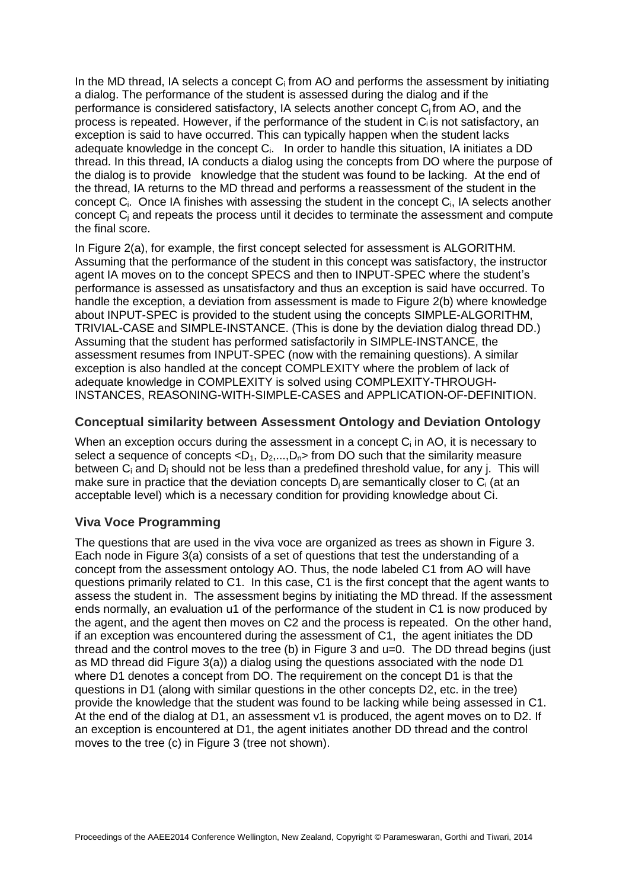In the MD thread, IA selects a concept  $C_i$  from AO and performs the assessment by initiating a dialog. The performance of the student is assessed during the dialog and if the performance is considered satisfactory, IA selects another concept C<sub>i</sub> from AO, and the process is repeated. However, if the performance of the student in  $C_i$  is not satisfactory, an exception is said to have occurred. This can typically happen when the student lacks adequate knowledge in the concept  $C_i$ . In order to handle this situation, IA initiates a DD thread. In this thread, IA conducts a dialog using the concepts from DO where the purpose of the dialog is to provide knowledge that the student was found to be lacking. At the end of the thread, IA returns to the MD thread and performs a reassessment of the student in the concept C<sub>i</sub>. Once IA finishes with assessing the student in the concept C<sub>i</sub>, IA selects another concept C<sup>j</sup> and repeats the process until it decides to terminate the assessment and compute the final score.

In Figure 2(a), for example, the first concept selected for assessment is ALGORITHM. Assuming that the performance of the student in this concept was satisfactory, the instructor agent IA moves on to the concept SPECS and then to INPUT-SPEC where the student's performance is assessed as unsatisfactory and thus an exception is said have occurred. To handle the exception, a deviation from assessment is made to Figure 2(b) where knowledge about INPUT-SPEC is provided to the student using the concepts SIMPLE-ALGORITHM, TRIVIAL-CASE and SIMPLE-INSTANCE. (This is done by the deviation dialog thread DD.) Assuming that the student has performed satisfactorily in SIMPLE-INSTANCE, the assessment resumes from INPUT-SPEC (now with the remaining questions). A similar exception is also handled at the concept COMPLEXITY where the problem of lack of adequate knowledge in COMPLEXITY is solved using COMPLEXITY-THROUGH-INSTANCES, REASONING-WITH-SIMPLE-CASES and APPLICATION-OF-DEFINITION.

### **Conceptual similarity between Assessment Ontology and Deviation Ontology**

When an exception occurs during the assessment in a concept  $C_i$  in AO, it is necessary to select a sequence of concepts  $\langle D_1, D_2,...,D_n \rangle$  from DO such that the similarity measure between C<sub>i</sub> and D<sub>i</sub> should not be less than a predefined threshold value, for any j. This will make sure in practice that the deviation concepts  $D_i$  are semantically closer to  $C_i$  (at an acceptable level) which is a necessary condition for providing knowledge about Ci.

## **Viva Voce Programming**

The questions that are used in the viva voce are organized as trees as shown in Figure 3. Each node in Figure 3(a) consists of a set of questions that test the understanding of a concept from the assessment ontology AO. Thus, the node labeled C1 from AO will have questions primarily related to C1. In this case, C1 is the first concept that the agent wants to assess the student in. The assessment begins by initiating the MD thread. If the assessment ends normally, an evaluation u1 of the performance of the student in C1 is now produced by the agent, and the agent then moves on C2 and the process is repeated. On the other hand, if an exception was encountered during the assessment of C1, the agent initiates the DD thread and the control moves to the tree (b) in Figure 3 and u=0. The DD thread begins (just as MD thread did Figure 3(a)) a dialog using the questions associated with the node D1 where D1 denotes a concept from DO. The requirement on the concept D1 is that the questions in D1 (along with similar questions in the other concepts D2, etc. in the tree) provide the knowledge that the student was found to be lacking while being assessed in C1. At the end of the dialog at D1, an assessment v1 is produced, the agent moves on to D2. If an exception is encountered at D1, the agent initiates another DD thread and the control moves to the tree (c) in Figure 3 (tree not shown).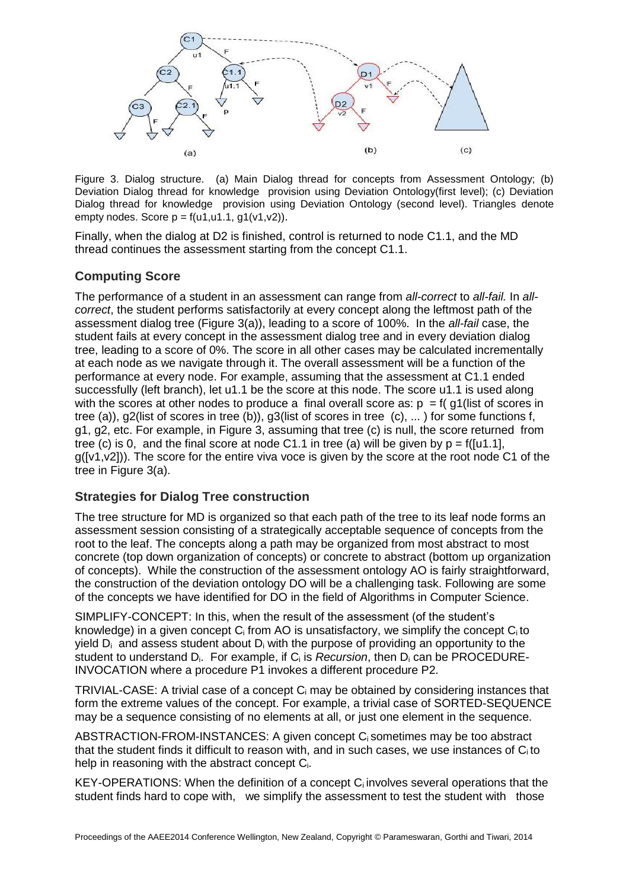

Figure 3. Dialog structure. (a) Main Dialog thread for concepts from Assessment Ontology; (b) Deviation Dialog thread for knowledge provision using Deviation Ontology(first level); (c) Deviation Dialog thread for knowledge provision using Deviation Ontology (second level). Triangles denote empty nodes. Score  $p = f(u1, u1.1, g1(v1, v2))$ .

Finally, when the dialog at D2 is finished, control is returned to node C1.1, and the MD thread continues the assessment starting from the concept C1.1.

### **Computing Score**

The performance of a student in an assessment can range from *all-correct* to *all-fail.* In *allcorrect*, the student performs satisfactorily at every concept along the leftmost path of the assessment dialog tree (Figure 3(a)), leading to a score of 100%. In the *all-fail* case, the student fails at every concept in the assessment dialog tree and in every deviation dialog tree, leading to a score of 0%. The score in all other cases may be calculated incrementally at each node as we navigate through it. The overall assessment will be a function of the performance at every node. For example, assuming that the assessment at C1.1 ended successfully (left branch), let u1.1 be the score at this node. The score u1.1 is used along with the scores at other nodes to produce a final overall score as:  $p = f(q)$  (list of scores in tree (a)), g2(list of scores in tree (b)), g3(list of scores in tree (c), ... ) for some functions f, g1, g2, etc. For example, in Figure 3, assuming that tree (c) is null, the score returned from tree (c) is 0, and the final score at node C1.1 in tree (a) will be given by  $p = f([u1.1],$ g([v1,v2])). The score for the entire viva voce is given by the score at the root node C1 of the tree in Figure 3(a).

### **Strategies for Dialog Tree construction**

The tree structure for MD is organized so that each path of the tree to its leaf node forms an assessment session consisting of a strategically acceptable sequence of concepts from the root to the leaf. The concepts along a path may be organized from most abstract to most concrete (top down organization of concepts) or concrete to abstract (bottom up organization of concepts). While the construction of the assessment ontology AO is fairly straightforward, the construction of the deviation ontology DO will be a challenging task. Following are some of the concepts we have identified for DO in the field of Algorithms in Computer Science.

SIMPLIFY-CONCEPT: In this, when the result of the assessment (of the student's knowledge) in a given concept  $C_i$  from AO is unsatisfactory, we simplify the concept  $C_i$  to yield  $D_i$  and assess student about  $D_i$  with the purpose of providing an opportunity to the student to understand Di. For example, if C<sup>i</sup> is *Recursion*, then D<sup>i</sup> can be PROCEDURE-INVOCATION where a procedure P1 invokes a different procedure P2.

TRIVIAL-CASE: A trivial case of a concept C<sup>i</sup> may be obtained by considering instances that form the extreme values of the concept. For example, a trivial case of SORTED-SEQUENCE may be a sequence consisting of no elements at all, or just one element in the sequence.

ABSTRACTION-FROM-INSTANCES: A given concept Ci sometimes may be too abstract that the student finds it difficult to reason with, and in such cases, we use instances of Ci to help in reasoning with the abstract concept Ci.

KEY-OPERATIONS: When the definition of a concept  $C_i$  involves several operations that the student finds hard to cope with, we simplify the assessment to test the student with those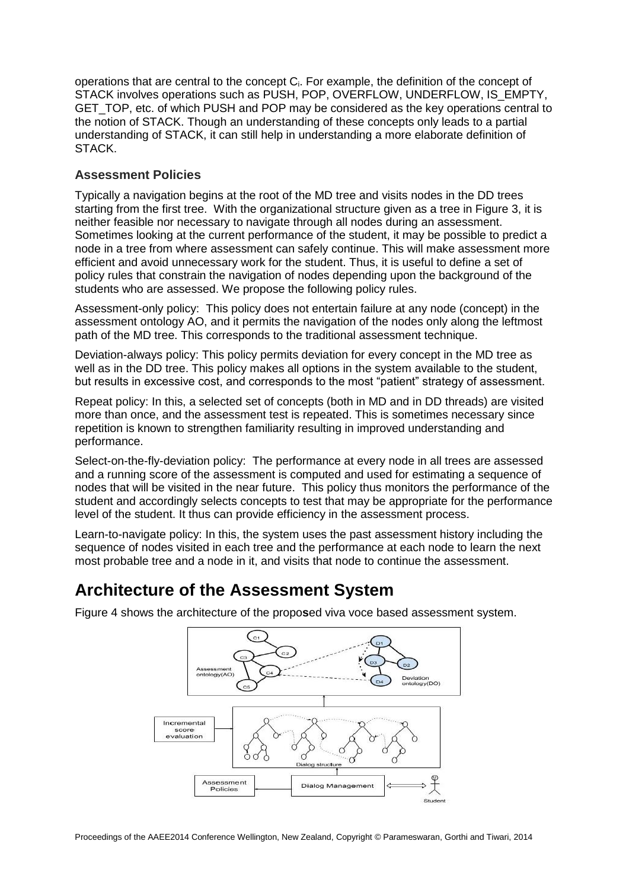operations that are central to the concept C<sub>i</sub>. For example, the definition of the concept of STACK involves operations such as PUSH, POP, OVERFLOW, UNDERFLOW, IS\_EMPTY, GET\_TOP, etc. of which PUSH and POP may be considered as the key operations central to the notion of STACK. Though an understanding of these concepts only leads to a partial understanding of STACK, it can still help in understanding a more elaborate definition of STACK.

## **Assessment Policies**

Typically a navigation begins at the root of the MD tree and visits nodes in the DD trees starting from the first tree. With the organizational structure given as a tree in Figure 3, it is neither feasible nor necessary to navigate through all nodes during an assessment. Sometimes looking at the current performance of the student, it may be possible to predict a node in a tree from where assessment can safely continue. This will make assessment more efficient and avoid unnecessary work for the student. Thus, it is useful to define a set of policy rules that constrain the navigation of nodes depending upon the background of the students who are assessed. We propose the following policy rules.

Assessment-only policy: This policy does not entertain failure at any node (concept) in the assessment ontology AO, and it permits the navigation of the nodes only along the leftmost path of the MD tree. This corresponds to the traditional assessment technique.

Deviation-always policy: This policy permits deviation for every concept in the MD tree as well as in the DD tree. This policy makes all options in the system available to the student, but results in excessive cost, and corresponds to the most "patient" strategy of assessment.

Repeat policy: In this, a selected set of concepts (both in MD and in DD threads) are visited more than once, and the assessment test is repeated. This is sometimes necessary since repetition is known to strengthen familiarity resulting in improved understanding and performance.

Select-on-the-fly-deviation policy: The performance at every node in all trees are assessed and a running score of the assessment is computed and used for estimating a sequence of nodes that will be visited in the near future. This policy thus monitors the performance of the student and accordingly selects concepts to test that may be appropriate for the performance level of the student. It thus can provide efficiency in the assessment process.

Learn-to-navigate policy: In this, the system uses the past assessment history including the sequence of nodes visited in each tree and the performance at each node to learn the next most probable tree and a node in it, and visits that node to continue the assessment.

## **Architecture of the Assessment System**



Figure 4 shows the architecture of the propo**s**ed viva voce based assessment system.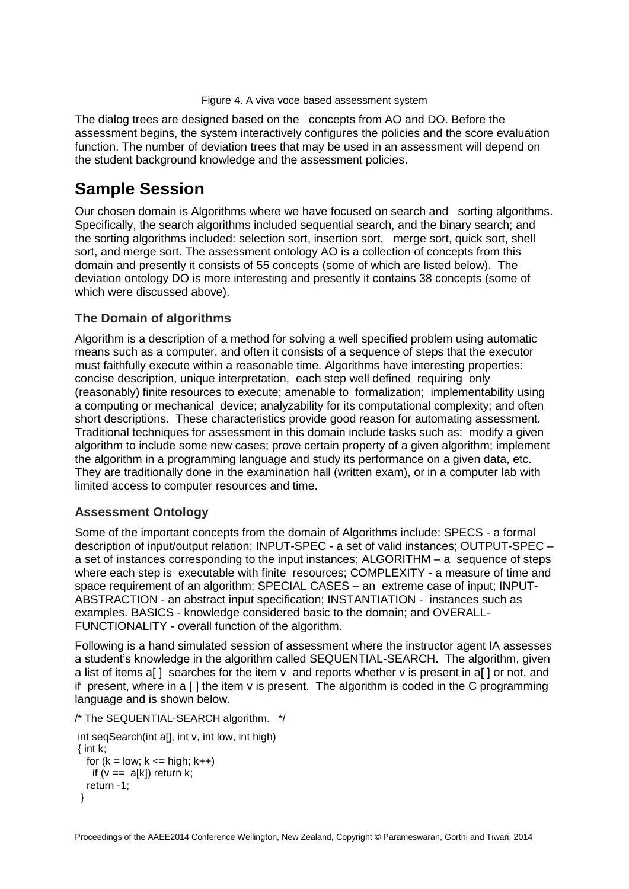#### Figure 4. A viva voce based assessment system

The dialog trees are designed based on the concepts from AO and DO. Before the assessment begins, the system interactively configures the policies and the score evaluation function. The number of deviation trees that may be used in an assessment will depend on the student background knowledge and the assessment policies.

## **Sample Session**

Our chosen domain is Algorithms where we have focused on search and sorting algorithms. Specifically, the search algorithms included sequential search, and the binary search; and the sorting algorithms included: selection sort, insertion sort, merge sort, quick sort, shell sort, and merge sort. The assessment ontology AO is a collection of concepts from this domain and presently it consists of 55 concepts (some of which are listed below). The deviation ontology DO is more interesting and presently it contains 38 concepts (some of which were discussed above).

### **The Domain of algorithms**

Algorithm is a description of a method for solving a well specified problem using automatic means such as a computer, and often it consists of a sequence of steps that the executor must faithfully execute within a reasonable time. Algorithms have interesting properties: concise description, unique interpretation, each step well defined requiring only (reasonably) finite resources to execute; amenable to formalization; implementability using a computing or mechanical device; analyzability for its computational complexity; and often short descriptions. These characteristics provide good reason for automating assessment. Traditional techniques for assessment in this domain include tasks such as: modify a given algorithm to include some new cases; prove certain property of a given algorithm; implement the algorithm in a programming language and study its performance on a given data, etc. They are traditionally done in the examination hall (written exam), or in a computer lab with limited access to computer resources and time.

## **Assessment Ontology**

Some of the important concepts from the domain of Algorithms include: SPECS - a formal description of input/output relation; INPUT-SPEC - a set of valid instances; OUTPUT-SPEC – a set of instances corresponding to the input instances; ALGORITHM – a sequence of steps where each step is executable with finite resources: COMPLEXITY - a measure of time and space requirement of an algorithm; SPECIAL CASES – an extreme case of input; INPUT-ABSTRACTION - an abstract input specification; INSTANTIATION - instances such as examples. BASICS - knowledge considered basic to the domain; and OVERALL-FUNCTIONALITY - overall function of the algorithm.

Following is a hand simulated session of assessment where the instructor agent IA assesses a student's knowledge in the algorithm called SEQUENTIAL-SEARCH. The algorithm, given a list of items a[ ] searches for the item  $v$  and reports whether  $v$  is present in a[ ] or not, and if present, where in a  $\lceil \cdot \rceil$  the item v is present. The algorithm is coded in the C programming language and is shown below.

/\* The SEQUENTIAL-SEARCH algorithm. \*/

```
int seqSearch(int all, int v, int low, int high)
{ int k; 
  for (k = low; k \leq high; k++)if (v == a[k]) return k:
   return -1; 
 }
```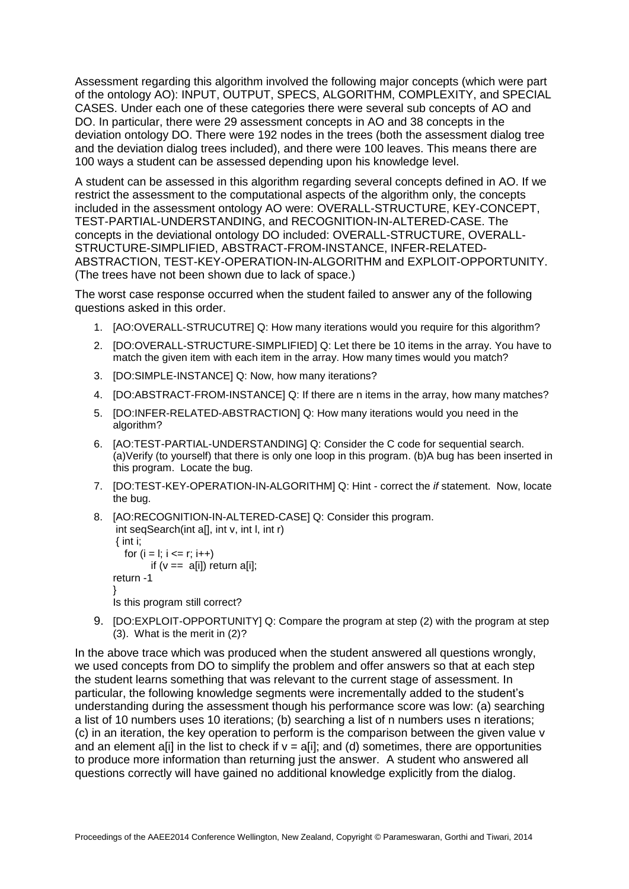Assessment regarding this algorithm involved the following major concepts (which were part of the ontology AO): INPUT, OUTPUT, SPECS, ALGORITHM, COMPLEXITY, and SPECIAL CASES. Under each one of these categories there were several sub concepts of AO and DO. In particular, there were 29 assessment concepts in AO and 38 concepts in the deviation ontology DO. There were 192 nodes in the trees (both the assessment dialog tree and the deviation dialog trees included), and there were 100 leaves. This means there are 100 ways a student can be assessed depending upon his knowledge level.

A student can be assessed in this algorithm regarding several concepts defined in AO. If we restrict the assessment to the computational aspects of the algorithm only, the concepts included in the assessment ontology AO were: OVERALL-STRUCTURE, KEY-CONCEPT, TEST-PARTIAL-UNDERSTANDING, and RECOGNITION-IN-ALTERED-CASE. The concepts in the deviational ontology DO included: OVERALL-STRUCTURE, OVERALL-STRUCTURE-SIMPLIFIED, ABSTRACT-FROM-INSTANCE, INFER-RELATED-ABSTRACTION, TEST-KEY-OPERATION-IN-ALGORITHM and EXPLOIT-OPPORTUNITY. (The trees have not been shown due to lack of space.)

The worst case response occurred when the student failed to answer any of the following questions asked in this order.

- 1. [AO:OVERALL-STRUCUTRE] Q: How many iterations would you require for this algorithm?
- 2. [DO:OVERALL-STRUCTURE-SIMPLIFIED] Q: Let there be 10 items in the array. You have to match the given item with each item in the array. How many times would you match?
- 3. [DO:SIMPLE-INSTANCE] Q: Now, how many iterations?
- 4. [DO:ABSTRACT-FROM-INSTANCE] Q: If there are n items in the array, how many matches?
- 5. [DO:INFER-RELATED-ABSTRACTION] Q: How many iterations would you need in the algorithm?
- 6. [AO:TEST-PARTIAL-UNDERSTANDING] Q: Consider the C code for sequential search. (a)Verify (to yourself) that there is only one loop in this program. (b)A bug has been inserted in this program. Locate the bug.
- 7. [DO:TEST-KEY-OPERATION-IN-ALGORITHM] Q: Hint correct the *if* statement. Now, locate the bug.
- 8. [AO:RECOGNITION-IN-ALTERED-CASE] Q: Consider this program. int seqSearch(int a[], int v, int l, int r)  $\{$  int i; for  $(i = 1; i \leq r; i++)$ if  $(v ==$  alil) return alil:

```
return -1
}
Is this program still correct?
```
9. IDO:EXPLOIT-OPPORTUNITY] Q: Compare the program at step (2) with the program at step (3). What is the merit in (2)?

In the above trace which was produced when the student answered all questions wrongly, we used concepts from DO to simplify the problem and offer answers so that at each step the student learns something that was relevant to the current stage of assessment. In particular, the following knowledge segments were incrementally added to the student's understanding during the assessment though his performance score was low: (a) searching a list of 10 numbers uses 10 iterations; (b) searching a list of n numbers uses n iterations; (c) in an iteration, the key operation to perform is the comparison between the given value v and an element alil in the list to check if  $v = \text{a}$  and (d) sometimes, there are opportunities to produce more information than returning just the answer. A student who answered all questions correctly will have gained no additional knowledge explicitly from the dialog.